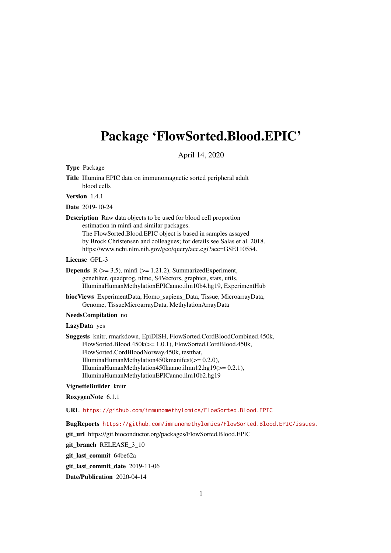## Package 'FlowSorted.Blood.EPIC'

April 14, 2020

#### Type Package

Title Illumina EPIC data on immunomagnetic sorted peripheral adult blood cells

Version 1.4.1

Date 2019-10-24

Description Raw data objects to be used for blood cell proportion estimation in minfi and similar packages. The FlowSorted.Blood.EPIC object is based in samples assayed by Brock Christensen and colleagues; for details see Salas et al. 2018. https://www.ncbi.nlm.nih.gov/geo/query/acc.cgi?acc=GSE110554.

#### License GPL-3

**Depends** R  $(>= 3.5)$ , minfi  $(>= 1.21.2)$ , SummarizedExperiment, genefilter, quadprog, nlme, S4Vectors, graphics, stats, utils, IlluminaHumanMethylationEPICanno.ilm10b4.hg19, ExperimentHub

biocViews ExperimentData, Homo\_sapiens\_Data, Tissue, MicroarrayData, Genome, TissueMicroarrayData, MethylationArrayData

#### NeedsCompilation no

#### LazyData yes

Suggests knitr, rmarkdown, EpiDISH, FlowSorted.CordBloodCombined.450k, FlowSorted.Blood.450k(>= 1.0.1), FlowSorted.CordBlood.450k, FlowSorted.CordBloodNorway.450k, testthat, IlluminaHumanMethylation450kmanifest(>= 0.2.0), IlluminaHumanMethylation450kanno.ilmn12.hg19(>= 0.2.1), IlluminaHumanMethylationEPICanno.ilm10b2.hg19

#### VignetteBuilder knitr

#### RoxygenNote 6.1.1

URL <https://github.com/immunomethylomics/FlowSorted.Blood.EPIC>

BugReports <https://github.com/immunomethylomics/FlowSorted.Blood.EPIC/issues.>

git\_url https://git.bioconductor.org/packages/FlowSorted.Blood.EPIC

git\_branch RELEASE\_3\_10

git\_last\_commit 64be62a

git last commit date 2019-11-06

Date/Publication 2020-04-14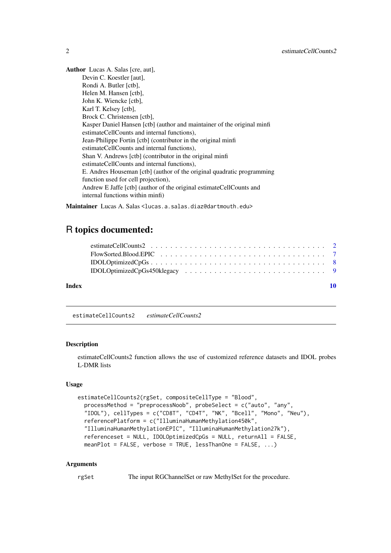<span id="page-1-0"></span>Author Lucas A. Salas [cre, aut], Devin C. Koestler [aut], Rondi A. Butler [ctb], Helen M. Hansen [ctb], John K. Wiencke [ctb], Karl T. Kelsey [ctb], Brock C. Christensen [ctb], Kasper Daniel Hansen [ctb] (author and maintainer of the original minfi estimateCellCounts and internal functions), Jean-Philippe Fortin [ctb] (contributor in the original minfi estimateCellCounts and internal functions), Shan V. Andrews [ctb] (contributor in the original minfi estimateCellCounts and internal functions), E. Andres Houseman [ctb] (author of the original quadratic programming function used for cell projection), Andrew E Jaffe [ctb] (author of the original estimateCellCounts and internal functions within minfi)

Maintainer Lucas A. Salas <lucas.a.salas.diaz@dartmouth.edu>

### R topics documented:

| Index |  |
|-------|--|
|       |  |
|       |  |
|       |  |
|       |  |

estimateCellCounts2 *estimateCellCounts2*

#### Description

estimateCellCounts2 function allows the use of customized reference datasets and IDOL probes L-DMR lists

#### Usage

```
estimateCellCounts2(rgSet, compositeCellType = "Blood",
 processMethod = "preprocessNoob", probeSelect = c("auto", "any",
  "IDOL"), cellTypes = c("CD8T", "CD4T", "NK", "Bcell", "Mono", "Neu"),
 referencePlatform = c("IlluminaHumanMethylation450k",
 "IlluminaHumanMethylationEPIC", "IlluminaHumanMethylation27k"),
 referenceset = NULL, IDOLOptimizedCpGs = NULL, returnAll = FALSE,
 meanPlot = FALSE, verbose = TRUE, lessThanOne = FALSE, ...)
```
#### Arguments

rgSet The input RGChannelSet or raw MethylSet for the procedure.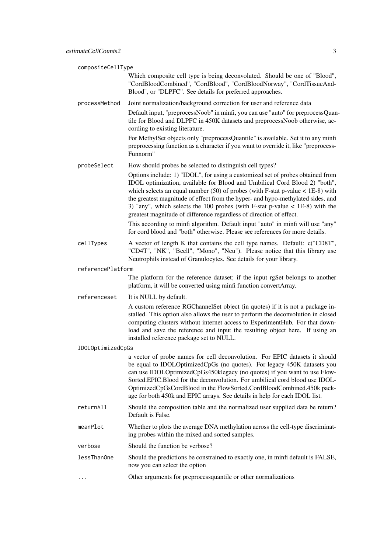| compositeCellType |                                                                                                                                                                                                                                                                                                                                                                                                                                                                                              |  |  |
|-------------------|----------------------------------------------------------------------------------------------------------------------------------------------------------------------------------------------------------------------------------------------------------------------------------------------------------------------------------------------------------------------------------------------------------------------------------------------------------------------------------------------|--|--|
|                   | Which composite cell type is being deconvoluted. Should be one of "Blood",<br>"CordBloodCombined", "CordBlood", "CordBloodNorway", "CordTissueAnd-<br>Blood", or "DLPFC". See details for preferred approaches.                                                                                                                                                                                                                                                                              |  |  |
| processMethod     | Joint normalization/background correction for user and reference data                                                                                                                                                                                                                                                                                                                                                                                                                        |  |  |
|                   | Default input, "preprocessNoob" in minfi, you can use "auto" for preprocessQuan-<br>tile for Blood and DLPFC in 450K datasets and preprocessNoob otherwise, ac-<br>cording to existing literature.                                                                                                                                                                                                                                                                                           |  |  |
|                   | For MethylSet objects only "preprocessQuantile" is available. Set it to any minfi<br>preprocessing function as a character if you want to override it, like "preprocess-<br>Funnorm"                                                                                                                                                                                                                                                                                                         |  |  |
| probeSelect       | How should probes be selected to distinguish cell types?                                                                                                                                                                                                                                                                                                                                                                                                                                     |  |  |
|                   | Options include: 1) "IDOL", for using a customized set of probes obtained from<br>IDOL optimization, available for Blood and Umbilical Cord Blood 2) "both",<br>which selects an equal number $(50)$ of probes (with F-stat p-value < 1E-8) with<br>the greatest magnitude of effect from the hyper- and hypo-methylated sides, and<br>3) "any", which selects the 100 probes (with F-stat p-value $<$ 1E-8) with the<br>greatest magnitude of difference regardless of direction of effect. |  |  |
|                   | This according to minfi algorithm. Default input "auto" in minfi will use "any"<br>for cord blood and "both" otherwise. Please see references for more details.                                                                                                                                                                                                                                                                                                                              |  |  |
| cellTypes         | A vector of length K that contains the cell type names. Default: c("CD8T",<br>"CD4T", "NK", "Bcell", "Mono", "Neu"). Please notice that this library use<br>Neutrophils instead of Granulocytes. See details for your library.                                                                                                                                                                                                                                                               |  |  |
| referencePlatform |                                                                                                                                                                                                                                                                                                                                                                                                                                                                                              |  |  |
|                   | The platform for the reference dataset; if the input rgSet belongs to another<br>platform, it will be converted using minfi function convertArray.                                                                                                                                                                                                                                                                                                                                           |  |  |
| referenceset      | It is NULL by default.                                                                                                                                                                                                                                                                                                                                                                                                                                                                       |  |  |
|                   | A custom reference RGChannelSet object (in quotes) if it is not a package in-<br>stalled. This option also allows the user to perform the deconvolution in closed<br>computing clusters without internet access to ExperimentHub. For that down-<br>load and save the reference and input the resulting object here. If using an<br>installed reference package set to NULL.                                                                                                                 |  |  |
| IDOLOptimizedCpGs |                                                                                                                                                                                                                                                                                                                                                                                                                                                                                              |  |  |
|                   | a vector of probe names for cell deconvolution. For EPIC datasets it should<br>be equal to IDOLOptimizedCpGs (no quotes). For legacy 450K datasets you<br>can use IDOLOptimizedCpGs450klegacy (no quotes) if you want to use Flow-<br>Sorted.EPIC.Blood for the deconvolution. For umbilical cord blood use IDOL-<br>OptimizedCpGsCordBlood in the FlowSorted.CordBloodCombined.450k pack-<br>age for both 450k and EPIC arrays. See details in help for each IDOL list.                     |  |  |
| returnAll         | Should the composition table and the normalized user supplied data be return?<br>Default is False.                                                                                                                                                                                                                                                                                                                                                                                           |  |  |
| meanPlot          | Whether to plots the average DNA methylation across the cell-type discriminat-<br>ing probes within the mixed and sorted samples.                                                                                                                                                                                                                                                                                                                                                            |  |  |
| verbose           | Should the function be verbose?                                                                                                                                                                                                                                                                                                                                                                                                                                                              |  |  |
| lessThanOne       | Should the predictions be constrained to exactly one, in minfi default is FALSE,<br>now you can select the option                                                                                                                                                                                                                                                                                                                                                                            |  |  |
|                   | Other arguments for preprocessquantile or other normalizations                                                                                                                                                                                                                                                                                                                                                                                                                               |  |  |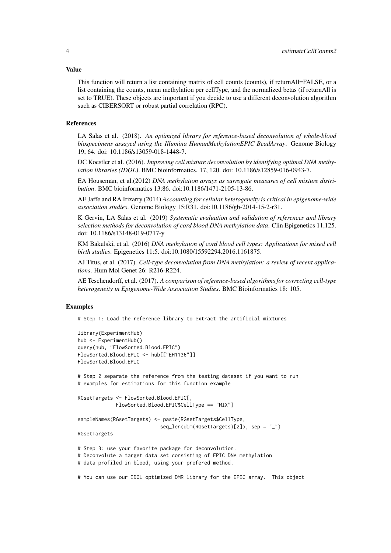#### Value

This function will return a list containing matrix of cell counts (counts), if returnAll=FALSE, or a list containing the counts, mean methylation per cellType, and the normalized betas (if returnAll is set to TRUE). These objects are important if you decide to use a different deconvolution algorithm such as CIBERSORT or robust partial correlation (RPC).

#### References

LA Salas et al. (2018). *An optimized library for reference-based deconvolution of whole-blood biospecimens assayed using the Illumina HumanMethylationEPIC BeadArray*. Genome Biology 19, 64. doi: 10.1186/s13059-018-1448-7.

DC Koestler et al. (2016). *Improving cell mixture deconvolution by identifying optimal DNA methylation libraries (IDOL)*. BMC bioinformatics. 17, 120. doi: 10.1186/s12859-016-0943-7.

EA Houseman, et al.(2012) *DNA methylation arrays as surrogate measures of cell mixture distribution*. BMC bioinformatics 13:86. doi:10.1186/1471-2105-13-86.

AE Jaffe and RA Irizarry.(2014) *Accounting for cellular heterogeneity is critical in epigenome-wide association studies*. Genome Biology 15:R31. doi:10.1186/gb-2014-15-2-r31.

K Gervin, LA Salas et al. (2019) *Systematic evaluation and validation of references and library selection methods for deconvolution of cord blood DNA methylation data*. Clin Epigenetics 11,125. doi: 10.1186/s13148-019-0717-y

KM Bakulski, et al. (2016) *DNA methylation of cord blood cell types: Applications for mixed cell birth studies*. Epigenetics 11:5. doi:10.1080/15592294.2016.1161875.

AJ Titus, et al. (2017). *Cell-type deconvolution from DNA methylation: a review of recent applications*. Hum Mol Genet 26: R216-R224.

AE Teschendorff, et al. (2017). *A comparison of reference-based algorithms for correcting cell-type heterogeneity in Epigenome-Wide Association Studies*. BMC Bioinformatics 18: 105.

#### Examples

# Step 1: Load the reference library to extract the artificial mixtures

```
library(ExperimentHub)
hub <- ExperimentHub()
query(hub, "FlowSorted.Blood.EPIC")
FlowSorted.Blood.EPIC <- hub[["EH1136"]]
FlowSorted.Blood.EPIC
# Step 2 separate the reference from the testing dataset if you want to run
# examples for estimations for this function example
RGsetTargets <- FlowSorted.Blood.EPIC[,
             FlowSorted.Blood.EPIC$CellType == "MIX"]
sampleNames(RGsetTargets) <- paste(RGsetTargets$CellType,
                            seq_len(dim(RGsetTargets)[2]), sep = "_")
RGsetTargets
# Step 3: use your favorite package for deconvolution.
# Deconvolute a target data set consisting of EPIC DNA methylation
# data profiled in blood, using your prefered method.
```
# You can use our IDOL optimized DMR library for the EPIC array. This object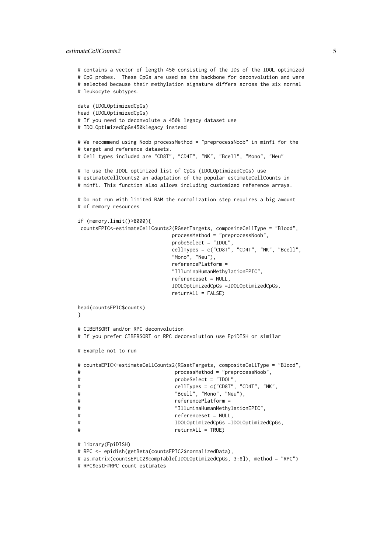#### estimateCellCounts2 5

```
# contains a vector of length 450 consisting of the IDs of the IDOL optimized
# CpG probes. These CpGs are used as the backbone for deconvolution and were
# selected because their methylation signature differs across the six normal
# leukocyte subtypes.
data (IDOLOptimizedCpGs)
head (IDOLOptimizedCpGs)
# If you need to deconvolute a 450k legacy dataset use
# IDOLOptimizedCpGs450klegacy instead
# We recommend using Noob processMethod = "preprocessNoob" in minfi for the
# target and reference datasets.
# Cell types included are "CD8T", "CD4T", "NK", "Bcell", "Mono", "Neu"
# To use the IDOL optimized list of CpGs (IDOLOptimizedCpGs) use
# estimateCellCounts2 an adaptation of the popular estimateCellCounts in
# minfi. This function also allows including customized reference arrays.
# Do not run with limited RAM the normalization step requires a big amount
# of memory resources
if (memory.limit()>8000){
 countsEPIC<-estimateCellCounts2(RGsetTargets, compositeCellType = "Blood",
                            processMethod = "preprocessNoob",
                            probeSelect = "IDOL",
                            cellTypes = c("CD8T", "CD4T", "NK", "Bcell",
                            "Mono", "Neu"),
                            referencePlatform =
                            "IlluminaHumanMethylationEPIC",
                            referenceset = NULL,
                            IDOLOptimizedCpGs =IDOLOptimizedCpGs,
                            return All = FALSE)head(countsEPIC$counts)
}
# CIBERSORT and/or RPC deconvolution
# If you prefer CIBERSORT or RPC deconvolution use EpiDISH or similar
# Example not to run
# countsEPIC<-estimateCellCounts2(RGsetTargets, compositeCellType = "Blood",
# processMethod = "preprocessNoob",
# probeSelect = "IDOL",
# cellTypes = c("CD8T", "CD4T", "NK",
# "Bcell", "Mono", "Neu"),
# referencePlatform =
# "IlluminaHumanMethylationEPIC",
# referenceset = NULL,
# IDOLOptimizedCpGs =IDOLOptimizedCpGs,
# returnAll = TRUE)
# library(EpiDISH)
# RPC <- epidish(getBeta(countsEPIC2$normalizedData),
# as.matrix(countsEPIC2$compTable[IDOLOptimizedCpGs, 3:8]), method = "RPC")
# RPC$estF#RPC count estimates
```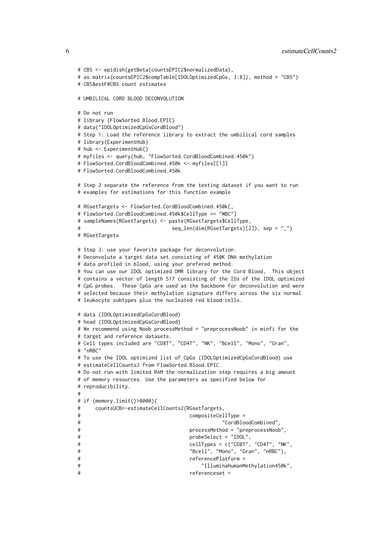```
# CBS <- epidish(getBeta(countsEPIC2$normalizedData),
# as.matrix(countsEPIC2$compTable[IDOLOptimizedCpGs, 3:8]), method = "CBS")
# CBS$estF#CBS count estimates
# UMBILICAL CORD BLOOD DECONVOLUTION
# Do not run
# library (FlowSorted.Blood.EPIC)
# data("IDOLOptimizedCpGsCordBlood")
# Step 1: Load the reference library to extract the umbilical cord samples
# library(ExperimentHub)
# hub <- ExperimentHub()
# myfiles <- query(hub, "FlowSorted.CordBloodCombined.450k")
# FlowSorted.CordBloodCombined.450k <- myfiles[[1]]
# FlowSorted.CordBloodCombined.450k
# Step 2 separate the reference from the testing dataset if you want to run
# examples for estimations for this function example
# RGsetTargets <- FlowSorted.CordBloodCombined.450k[,
# FlowSorted.CordBloodCombined.450k$CellType == "WBC"]
# sampleNames(RGsetTargets) <- paste(RGsetTargets$CellType,
# seq_len(dim(RGsetTargets)[2]), sep = "_")
# RGsetTargets
# Step 3: use your favorite package for deconvolution.
# Deconvolute a target data set consisting of 450K DNA methylation
# data profiled in blood, using your prefered method.
# You can use our IDOL optimized DMR library for the Cord Blood, This object
# contains a vector of length 517 consisting of the IDs of the IDOL optimized
# CpG probes. These CpGs are used as the backbone for deconvolution and were
# selected because their methylation signature differs across the six normal
# leukocyte subtypes plus the nucleated red blood cells.
# data (IDOLOptimizedCpGsCordBlood)
# head (IDOLOptimizedCpGsCordBlood)
# We recommend using Noob processMethod = "preprocessNoob" in minfi for the
# target and reference datasets.
# Cell types included are "CD8T", "CD4T", "NK", "Bcell", "Mono", "Gran",
# "nRBC"
# To use the IDOL optimized list of CpGs (IDOLOptimizedCpGsCordBlood) use
# estimateCellCounts2 from FlowSorted.Blood.EPIC.
# Do not run with limited RAM the normalization step requires a big amount
# of memory resources. Use the parameters as specified below for
# reproducibility.
#
# if (memory.limit()>8000){
# countsUCB<-estimateCellCounts2(RGsetTargets,
# compositeCellType =
# "CordBloodCombined",
# processMethod = "preprocessNoob",
# probeSelect = "IDOL",
# cellTypes = c("CD8T", "CD4T", "NK",
# "Bcell", "Mono", "Gran", "nRBC"),
# referencePlatform =
# "IlluminaHumanMethylation450k",
# referenceset =
```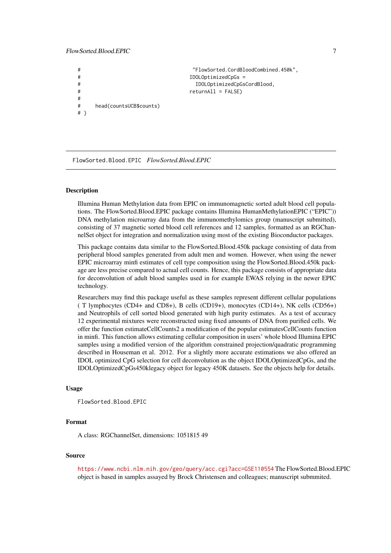#### <span id="page-6-0"></span>FlowSorted.Blood.EPIC 7

```
# "FlowSorted.CordBloodCombined.450k",
# IDOLOptimizedCpGs =
# IDOLOptimizedCpGsCordBlood,
# returnAll = FALSE)
#
# head(countsUCB$counts)
# }
```
FlowSorted.Blood.EPIC *FlowSorted.Blood.EPIC*

#### **Description**

Illumina Human Methylation data from EPIC on immunomagnetic sorted adult blood cell populations. The FlowSorted.Blood.EPIC package contains Illumina HumanMethylationEPIC ("EPIC")) DNA methylation microarray data from the immunomethylomics group (manuscript submitted), consisting of 37 magnetic sorted blood cell references and 12 samples, formatted as an RGChannelSet object for integration and normalization using most of the existing Bioconductor packages.

This package contains data similar to the FlowSorted.Blood.450k package consisting of data from peripheral blood samples generated from adult men and women. However, when using the newer EPIC microarray minfi estimates of cell type composition using the FlowSorted.Blood.450k package are less precise compared to actual cell counts. Hence, this package consists of appropriate data for deconvolution of adult blood samples used in for example EWAS relying in the newer EPIC technology.

Researchers may find this package useful as these samples represent different cellular populations ( T lymphocytes (CD4+ and CD8+), B cells (CD19+), monocytes (CD14+), NK cells (CD56+) and Neutrophils of cell sorted blood generated with high purity estimates. As a test of accuracy 12 experimental mixtures were reconstructed using fixed amounts of DNA from purified cells. We offer the function estimateCellCounts2 a modification of the popular estimatesCellCounts function in minfi. This function allows estimating cellular composition in users' whole blood Illumina EPIC samples using a modified version of the algorithm constrained projection/quadratic programming described in Houseman et al. 2012. For a slightly more accurate estimations we also offered an IDOL optimized CpG selection for cell deconvolution as the object IDOLOptimizedCpGs, and the IDOLOptimizedCpGs450klegacy object for legacy 450K datasets. See the objects help for details.

#### Usage

```
FlowSorted.Blood.EPIC
```
#### Format

A class: RGChannelSet, dimensions: 1051815 49

#### Source

<https://www.ncbi.nlm.nih.gov/geo/query/acc.cgi?acc=GSE110554> The FlowSorted.Blood.EPIC object is based in samples assayed by Brock Christensen and colleagues; manuscript submmited.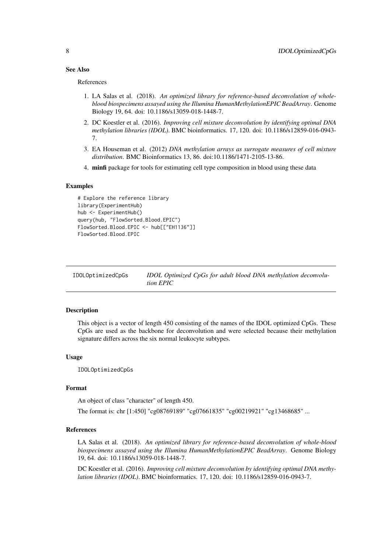#### <span id="page-7-0"></span>See Also

References

- 1. LA Salas et al. (2018). *An optimized library for reference-based deconvolution of wholeblood biospecimens assayed using the Illumina HumanMethylationEPIC BeadArray*. Genome Biology 19, 64. doi: 10.1186/s13059-018-1448-7.
- 2. DC Koestler et al. (2016). *Improving cell mixture deconvolution by identifying optimal DNA methylation libraries (IDOL)*. BMC bioinformatics. 17, 120. doi: 10.1186/s12859-016-0943- 7.
- 3. EA Houseman et al. (2012) *DNA methylation arrays as surrogate measures of cell mixture distribution*. BMC Bioinformatics 13, 86. doi:10.1186/1471-2105-13-86.
- 4. minfi package for tools for estimating cell type composition in blood using these data

#### Examples

```
# Explore the reference library
library(ExperimentHub)
hub <- ExperimentHub()
query(hub, "FlowSorted.Blood.EPIC")
FlowSorted.Blood.EPIC <- hub[["EH1136"]]
FlowSorted.Blood.EPIC
```
IDOLOptimizedCpGs *IDOL Optimized CpGs for adult blood DNA methylation deconvolution EPIC*

#### Description

This object is a vector of length 450 consisting of the names of the IDOL optimized CpGs. These CpGs are used as the backbone for deconvolution and were selected because their methylation signature differs across the six normal leukocyte subtypes.

#### Usage

IDOLOptimizedCpGs

#### Format

An object of class "character" of length 450.

The format is: chr [1:450] "cg08769189" "cg07661835" "cg00219921" "cg13468685" ...

#### References

LA Salas et al. (2018). *An optimized library for reference-based deconvolution of whole-blood biospecimens assayed using the Illumina HumanMethylationEPIC BeadArray*. Genome Biology 19, 64. doi: 10.1186/s13059-018-1448-7.

DC Koestler et al. (2016). *Improving cell mixture deconvolution by identifying optimal DNA methylation libraries (IDOL)*. BMC bioinformatics. 17, 120. doi: 10.1186/s12859-016-0943-7.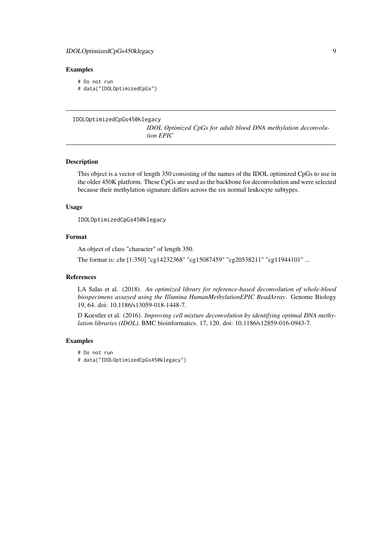#### <span id="page-8-0"></span>IDOLOptimizedCpGs450klegacy 9

#### Examples

```
# Do not run
# data("IDOLOptimizedCpGs")
```

```
IDOLOptimizedCpGs450klegacy
```
*IDOL Optimized CpGs for adult blood DNA methylation deconvolution EPIC*

#### Description

This object is a vector of length 350 consisting of the names of the IDOL optimized CpGs to use in the older 450K platform. These CpGs are used as the backbone for deconvolution and were selected because their methylation signature differs across the six normal leukocyte subtypes.

#### Usage

IDOLOptimizedCpGs450klegacy

#### Format

An object of class "character" of length 350.

The format is: chr [1:350] "cg14232368" "cg15087459" "cg20538211" "cg11944101" ...

#### References

LA Salas et al. (2018). *An optimized library for reference-based deconvolution of whole-blood biospecimens assayed using the Illumina HumanMethylationEPIC BeadArray*. Genome Biology 19, 64. doi: 10.1186/s13059-018-1448-7.

D Koestler et al. (2016). *Improving cell mixture deconvolution by identifying optimal DNA methylation libraries (IDOL)*. BMC bioinformatics. 17, 120. doi: 10.1186/s12859-016-0943-7.

#### Examples

# Do not run

# data("IDOLOptimizedCpGs450klegacy")